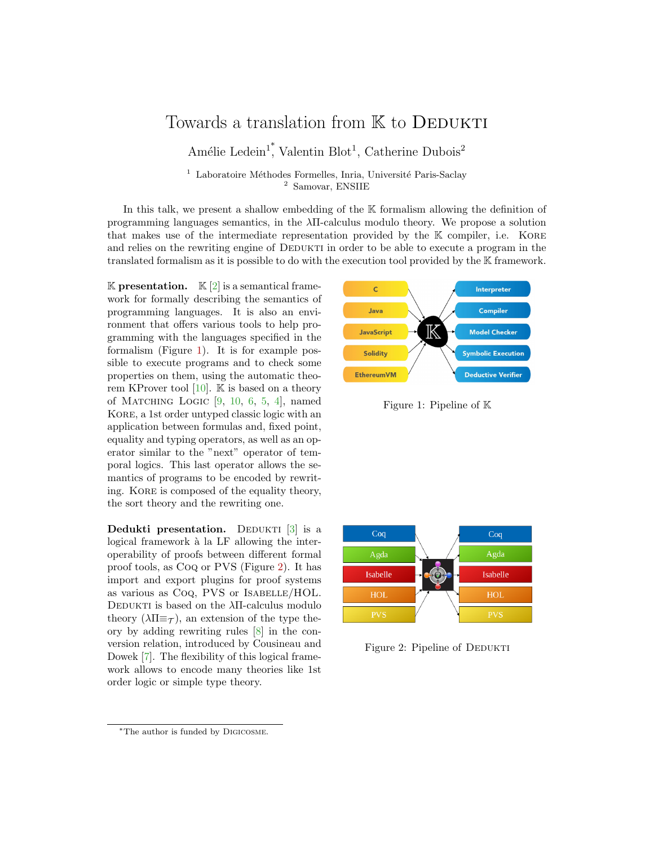## Towards a translation from K to DEDUKTI

Amélie Ledein<sup>1</sup>, Valentin Blot<sup>1</sup>, Catherine Dubois<sup>2</sup>

 $1$  Laboratoire Méthodes Formelles, Inria, Université Paris-Saclay <sup>2</sup> Samovar, ENSIIE

In this talk, we present a shallow embedding of the K formalism allowing the definition of programming languages semantics, in the λΠ-calculus modulo theory. We propose a solution that makes use of the intermediate representation provided by the K compiler, i.e. KORE and relies on the rewriting engine of DEDUKTI in order to be able to execute a program in the translated formalism as it is possible to do with the execution tool provided by the K framework.

**K** presentation. **K** [\[2\]](#page-2-0) is a semantical framework for formally describing the semantics of programming languages. It is also an environment that offers various tools to help programming with the languages specified in the formalism (Figure [1\)](#page-0-0). It is for example possible to execute programs and to check some properties on them, using the automatic theorem KProver tool  $[10]$ . K is based on a theory of MATCHING LOGIC  $[9, 10, 6, 5, 4]$  $[9, 10, 6, 5, 4]$  $[9, 10, 6, 5, 4]$  $[9, 10, 6, 5, 4]$  $[9, 10, 6, 5, 4]$  $[9, 10, 6, 5, 4]$  $[9, 10, 6, 5, 4]$  $[9, 10, 6, 5, 4]$  $[9, 10, 6, 5, 4]$ , named Kore, a 1st order untyped classic logic with an application between formulas and, fixed point, equality and typing operators, as well as an operator similar to the "next" operator of temporal logics. This last operator allows the semantics of programs to be encoded by rewriting. Kore is composed of the equality theory, the sort theory and the rewriting one.

Dedukti presentation. DEDUKTI  $[3]$  is a logical framework à la LF allowing the interoperability of proofs between different formal proof tools, as Coq or PVS (Figure [2\)](#page-0-1). It has import and export plugins for proof systems as various as Coq, PVS or Isabelle/HOL. DEDUKTI is based on the  $\lambda$ Π-calculus modulo theory  $(\lambda \Pi \equiv \tau)$ , an extension of the type theory by adding rewriting rules [\[8\]](#page-2-7) in the conversion relation, introduced by Cousineau and Dowek [\[7\]](#page-2-8). The flexibility of this logical framework allows to encode many theories like 1st order logic or simple type theory.

<span id="page-0-0"></span>Figure 1: Pipeline of K



<span id="page-0-1"></span>Figure 2: Pipeline of DEDUKTI

 $\mathsf{C}$ Interpreter Compiler Java  $\mathbb K$ **Model Checker JavaScript** Solidity **Symbolic Execution EthereumVM Deductive Verifier** 

<sup>∗</sup>The author is funded by Digicosme.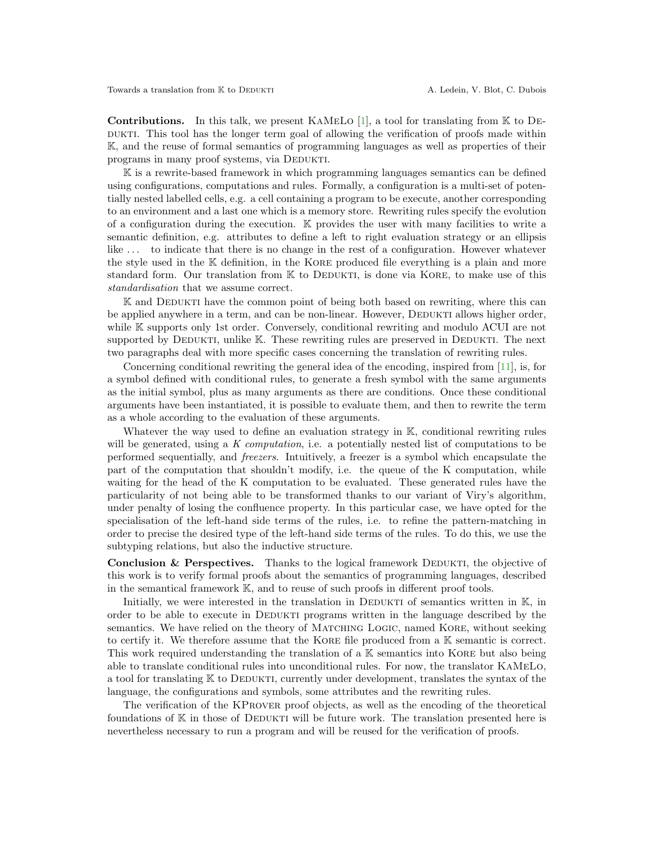**Contributions.** In this talk, we present KAMELO [\[1\]](#page-2-9), a tool for translating from  $\mathbb{K}$  to DE-DUKTI. This tool has the longer term goal of allowing the verification of proofs made within K, and the reuse of formal semantics of programming languages as well as properties of their programs in many proof systems, via DEDUKTI.

 $\mathbb K$  is a rewrite-based framework in which programming languages semantics can be defined using configurations, computations and rules. Formally, a configuration is a multi-set of potentially nested labelled cells, e.g. a cell containing a program to be execute, another corresponding to an environment and a last one which is a memory store. Rewriting rules specify the evolution of a configuration during the execution. K provides the user with many facilities to write a semantic definition, e.g. attributes to define a left to right evaluation strategy or an ellipsis like ... to indicate that there is no change in the rest of a configuration. However whatever the style used in the K definition, in the Kore produced file everything is a plain and more standard form. Our translation from  $K$  to DEDUKTI, is done via KORE, to make use of this standardisation that we assume correct.

 $\mathbb K$  and DEDUKTI have the common point of being both based on rewriting, where this can be applied anywhere in a term, and can be non-linear. However, DEDUKTI allows higher order, while K supports only 1st order. Conversely, conditional rewriting and modulo ACUI are not supported by DEDUKTI, unlike K. These rewriting rules are preserved in DEDUKTI. The next two paragraphs deal with more specific cases concerning the translation of rewriting rules.

Concerning conditional rewriting the general idea of the encoding, inspired from [\[11\]](#page-2-10), is, for a symbol defined with conditional rules, to generate a fresh symbol with the same arguments as the initial symbol, plus as many arguments as there are conditions. Once these conditional arguments have been instantiated, it is possible to evaluate them, and then to rewrite the term as a whole according to the evaluation of these arguments.

Whatever the way used to define an evaluation strategy in K, conditional rewriting rules will be generated, using a K computation, i.e. a potentially nested list of computations to be performed sequentially, and freezers. Intuitively, a freezer is a symbol which encapsulate the part of the computation that shouldn't modify, i.e. the queue of the K computation, while waiting for the head of the K computation to be evaluated. These generated rules have the particularity of not being able to be transformed thanks to our variant of Viry's algorithm, under penalty of losing the confluence property. In this particular case, we have opted for the specialisation of the left-hand side terms of the rules, i.e. to refine the pattern-matching in order to precise the desired type of the left-hand side terms of the rules. To do this, we use the subtyping relations, but also the inductive structure.

**Conclusion & Perspectives.** Thanks to the logical framework DEDUKTI, the objective of this work is to verify formal proofs about the semantics of programming languages, described in the semantical framework K, and to reuse of such proofs in different proof tools.

Initially, we were interested in the translation in DEDUKTI of semantics written in  $\mathbb{K}$ , in order to be able to execute in Dedukti programs written in the language described by the semantics. We have relied on the theory of MATCHING LOGIC, named KORE, without seeking to certify it. We therefore assume that the Kore file produced from a K semantic is correct. This work required understanding the translation of a K semantics into KORE but also being able to translate conditional rules into unconditional rules. For now, the translator KaMeLo, a tool for translating  $K$  to DEDUKTI, currently under development, translates the syntax of the language, the configurations and symbols, some attributes and the rewriting rules.

The verification of the KProver proof objects, as well as the encoding of the theoretical foundations of  $\mathbb K$  in those of DEDUKTI will be future work. The translation presented here is nevertheless necessary to run a program and will be reused for the verification of proofs.